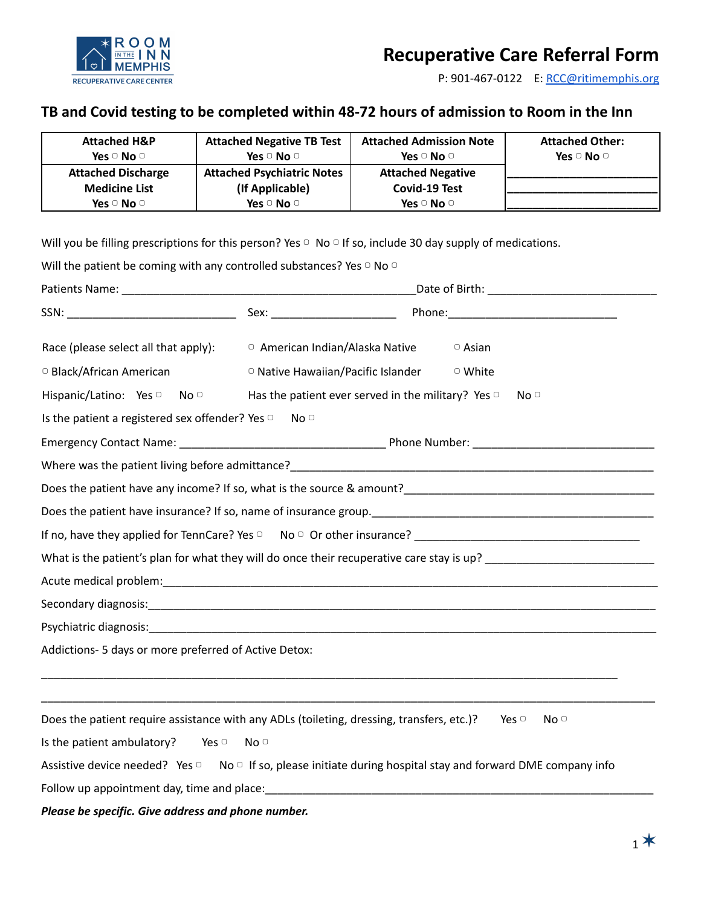

P: 901-467-0122 E: [RCC@ritimemphis.org](mailto:RCC@ritimemphis.org)

## **TB and Covid testing to be completed within 48-72 hours of admission to Room in the Inn**

| <b>Attached H&amp;P</b><br>Yes $\cup$ No $\cup$ | <b>Attached Negative TB Test</b><br>Yes $\cup$ No $\cup$ | <b>Attached Admission Note</b><br>Yes $\cup$ No $\cup$ | <b>Attached Other:</b><br>Yes $\cup$ No $\cup$ |
|-------------------------------------------------|----------------------------------------------------------|--------------------------------------------------------|------------------------------------------------|
| <b>Attached Discharge</b>                       | <b>Attached Psychiatric Notes</b>                        | <b>Attached Negative</b>                               |                                                |
| <b>Medicine List</b>                            | (If Applicable)                                          | Covid-19 Test                                          |                                                |
| Yes $\cup$ No $\cup$                            | Yes $\Box$ No $\Box$                                     | Yes $\Box$ No $\Box$                                   |                                                |

Will you be filling prescriptions for this person? Yes  $\Box$  No  $\Box$  If so, include 30 day supply of medications.

| Will the patient be coming with any controlled substances? Yes $\circ$ No $\circ$                                      |                                 |                                                          |                                                                                           |  |  |  |
|------------------------------------------------------------------------------------------------------------------------|---------------------------------|----------------------------------------------------------|-------------------------------------------------------------------------------------------|--|--|--|
|                                                                                                                        |                                 |                                                          |                                                                                           |  |  |  |
|                                                                                                                        |                                 |                                                          |                                                                                           |  |  |  |
| Race (please select all that apply):                                                                                   | □ American Indian/Alaska Native |                                                          | $\circ$ Asian                                                                             |  |  |  |
| □ Black/African American                                                                                               |                                 | <sup>o</sup> Native Hawaiian/Pacific Islander            | □ White                                                                                   |  |  |  |
| Hispanic/Latino: Yes <sup>o</sup> No <sup>o</sup>                                                                      |                                 | Has the patient ever served in the military? Yes $\circ$ | No <sup>o</sup>                                                                           |  |  |  |
| Is the patient a registered sex offender? Yes of                                                                       | No <sup>o</sup>                 |                                                          |                                                                                           |  |  |  |
|                                                                                                                        |                                 |                                                          |                                                                                           |  |  |  |
|                                                                                                                        |                                 |                                                          |                                                                                           |  |  |  |
|                                                                                                                        |                                 |                                                          |                                                                                           |  |  |  |
|                                                                                                                        |                                 |                                                          |                                                                                           |  |  |  |
|                                                                                                                        |                                 |                                                          |                                                                                           |  |  |  |
|                                                                                                                        |                                 |                                                          | What is the patient's plan for what they will do once their recuperative care stay is up? |  |  |  |
|                                                                                                                        |                                 |                                                          |                                                                                           |  |  |  |
|                                                                                                                        |                                 |                                                          |                                                                                           |  |  |  |
|                                                                                                                        |                                 |                                                          |                                                                                           |  |  |  |
| Addictions- 5 days or more preferred of Active Detox:                                                                  |                                 |                                                          |                                                                                           |  |  |  |
|                                                                                                                        |                                 |                                                          |                                                                                           |  |  |  |
| Does the patient require assistance with any ADLs (toileting, dressing, transfers, etc.)?                              |                                 |                                                          | Yes $\Box$<br>No <sup>o</sup>                                                             |  |  |  |
| Is the patient ambulatory?<br>Yes $\Box$                                                                               | No <sup>o</sup>                 |                                                          |                                                                                           |  |  |  |
| Assistive device needed? Yes $\Box$ No $\Box$ If so, please initiate during hospital stay and forward DME company info |                                 |                                                          |                                                                                           |  |  |  |
| Follow up appointment day, time and place: example and place and place in the set of the set of the set of the         |                                 |                                                          |                                                                                           |  |  |  |
| Please be specific. Give address and phone number.                                                                     |                                 |                                                          |                                                                                           |  |  |  |